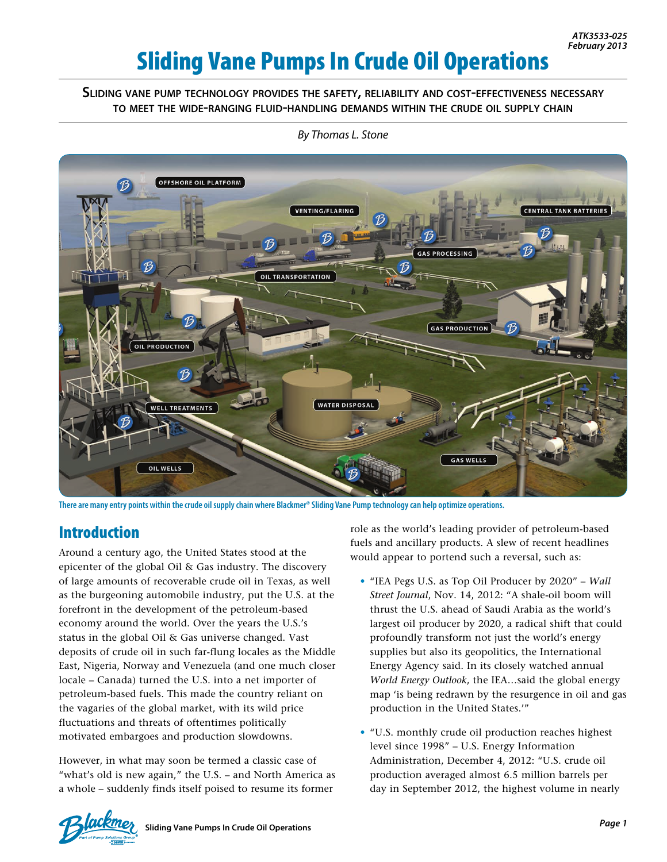# Sliding Vane Pumps In Crude Oil Operations

#### **Sliding vane pump technology provides the safety, reliability and cost-effectiveness necessary to meet the wide-ranging fluid-handling demands within the crude oil supply chain**



*By Thomas L. Stone*

**There are many entry points within the crude oil supply chain where Blackmer® Sliding Vane Pump technology can help optimize operations.**

# Introduction

Around a century ago, the United States stood at the epicenter of the global Oil & Gas industry. The discovery of large amounts of recoverable crude oil in Texas, as well as the burgeoning automobile industry, put the U.S. at the forefront in the development of the petroleum-based economy around the world. Over the years the U.S.'s status in the global Oil & Gas universe changed. Vast deposits of crude oil in such far-flung locales as the Middle East, Nigeria, Norway and Venezuela (and one much closer locale – Canada) turned the U.S. into a net importer of petroleum-based fuels. This made the country reliant on the vagaries of the global market, with its wild price fluctuations and threats of oftentimes politically motivated embargoes and production slowdowns.

However, in what may soon be termed a classic case of "what's old is new again," the U.S. – and North America as a whole – suddenly finds itself poised to resume its former

role as the world's leading provider of petroleum-based fuels and ancillary products. A slew of recent headlines would appear to portend such a reversal, such as:

- "IEA Pegs U.S. as Top Oil Producer by 2020" *Wall Street Journal*, Nov. 14, 2012: "A shale-oil boom will thrust the U.S. ahead of Saudi Arabia as the world's largest oil producer by 2020, a radical shift that could profoundly transform not just the world's energy supplies but also its geopolitics, the International Energy Agency said. In its closely watched annual *World Energy Outlook*, the IEA…said the global energy map 'is being redrawn by the resurgence in oil and gas production in the United States.'"
- "U.S. monthly crude oil production reaches highest level since 1998" – U.S. Energy Information Administration, December 4, 2012: "U.S. crude oil production averaged almost 6.5 million barrels per day in September 2012, the highest volume in nearly

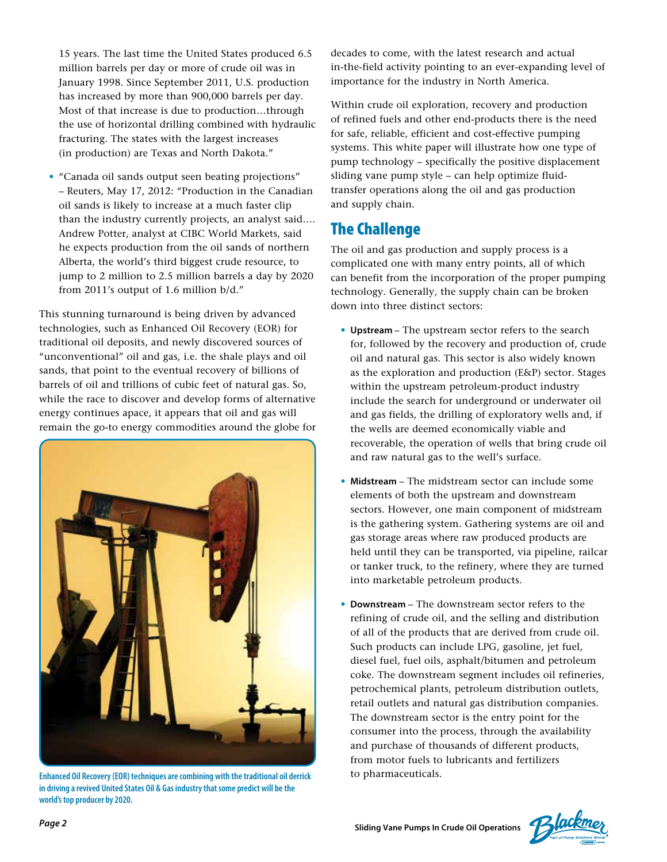15 years. The last time the United States produced 6.5 million barrels per day or more of crude oil was in January 1998. Since September 2011, U.S. production has increased by more than 900,000 barrels per day. Most of that increase is due to production…through the use of horizontal drilling combined with hydraulic fracturing. The states with the largest increases (in production) are Texas and North Dakota."

• "Canada oil sands output seen beating projections" – Reuters, May 17, 2012: "Production in the Canadian oil sands is likely to increase at a much faster clip than the industry currently projects, an analyst said…. Andrew Potter, analyst at CIBC World Markets, said he expects production from the oil sands of northern Alberta, the world's third biggest crude resource, to jump to 2 million to 2.5 million barrels a day by 2020 from 2011's output of 1.6 million b/d."

This stunning turnaround is being driven by advanced technologies, such as Enhanced Oil Recovery (EOR) for traditional oil deposits, and newly discovered sources of "unconventional" oil and gas, i.e. the shale plays and oil sands, that point to the eventual recovery of billions of barrels of oil and trillions of cubic feet of natural gas. So, while the race to discover and develop forms of alternative energy continues apace, it appears that oil and gas will remain the go-to energy commodities around the globe for



to pharmaceuticals. **Enhanced Oil Recovery (EOR) techniques are combining with the traditional oil derrick in driving a revived United States Oil & Gas industry that some predict will be the world's top producer by 2020.**

decades to come, with the latest research and actual in-the-field activity pointing to an ever-expanding level of importance for the industry in North America.

Within crude oil exploration, recovery and production of refined fuels and other end-products there is the need for safe, reliable, efficient and cost-effective pumping systems. This white paper will illustrate how one type of pump technology – specifically the positive displacement sliding vane pump style – can help optimize fluidtransfer operations along the oil and gas production and supply chain.

# The Challenge

The oil and gas production and supply process is a complicated one with many entry points, all of which can benefit from the incorporation of the proper pumping technology. Generally, the supply chain can be broken down into three distinct sectors:

- **Upstream** The upstream sector refers to the search for, followed by the recovery and production of, crude oil and natural gas. This sector is also widely known as the exploration and production (E&P) sector. Stages within the upstream petroleum-product industry include the search for underground or underwater oil and gas fields, the drilling of exploratory wells and, if the wells are deemed economically viable and recoverable, the operation of wells that bring crude oil and raw natural gas to the well's surface.
- **Midstream**  The midstream sector can include some elements of both the upstream and downstream sectors. However, one main component of midstream is the gathering system. Gathering systems are oil and gas storage areas where raw produced products are held until they can be transported, via pipeline, railcar or tanker truck, to the refinery, where they are turned into marketable petroleum products.
- **Downstream**  The downstream sector refers to the refining of crude oil, and the selling and distribution of all of the products that are derived from crude oil. Such products can include LPG, gasoline, jet fuel, diesel fuel, fuel oils, asphalt/bitumen and petroleum coke. The downstream segment includes oil refineries, petrochemical plants, petroleum distribution outlets, retail outlets and natural gas distribution companies. The downstream sector is the entry point for the consumer into the process, through the availability and purchase of thousands of different products, from motor fuels to lubricants and fertilizers

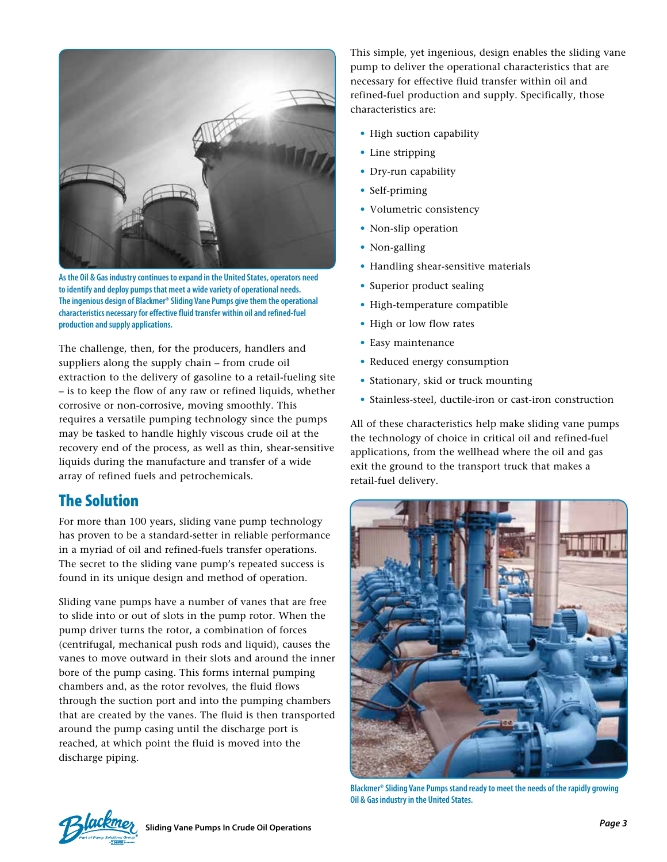

**As the Oil & Gas industry continues to expand in the United States, operators need to identify and deploy pumps that meet a wide variety of operational needs. The ingenious design of Blackmer® Sliding Vane Pumps give them the operational characteristics necessary for effective fluid transfer within oil and refined-fuel production and supply applications.**

The challenge, then, for the producers, handlers and suppliers along the supply chain – from crude oil extraction to the delivery of gasoline to a retail-fueling site – is to keep the flow of any raw or refined liquids, whether corrosive or non-corrosive, moving smoothly. This requires a versatile pumping technology since the pumps may be tasked to handle highly viscous crude oil at the recovery end of the process, as well as thin, shear-sensitive liquids during the manufacture and transfer of a wide array of refined fuels and petrochemicals.

## The Solution

For more than 100 years, sliding vane pump technology has proven to be a standard-setter in reliable performance in a myriad of oil and refined-fuels transfer operations. The secret to the sliding vane pump's repeated success is found in its unique design and method of operation.

Sliding vane pumps have a number of vanes that are free to slide into or out of slots in the pump rotor. When the pump driver turns the rotor, a combination of forces (centrifugal, mechanical push rods and liquid), causes the vanes to move outward in their slots and around the inner bore of the pump casing. This forms internal pumping chambers and, as the rotor revolves, the fluid flows through the suction port and into the pumping chambers that are created by the vanes. The fluid is then transported around the pump casing until the discharge port is reached, at which point the fluid is moved into the discharge piping.

This simple, yet ingenious, design enables the sliding vane pump to deliver the operational characteristics that are necessary for effective fluid transfer within oil and refined-fuel production and supply. Specifically, those characteristics are:

- High suction capability
- Line stripping
- Dry-run capability
- Self-priming
- Volumetric consistency
- Non-slip operation
- Non-galling
- Handling shear-sensitive materials
- Superior product sealing
- High-temperature compatible
- High or low flow rates
- Easy maintenance
- Reduced energy consumption
- Stationary, skid or truck mounting
- Stainless-steel, ductile-iron or cast-iron construction

All of these characteristics help make sliding vane pumps the technology of choice in critical oil and refined-fuel applications, from the wellhead where the oil and gas exit the ground to the transport truck that makes a retail-fuel delivery.



**Blackmer® Sliding Vane Pumps stand ready to meet the needs of the rapidly growing Oil & Gas industry in the United States.**